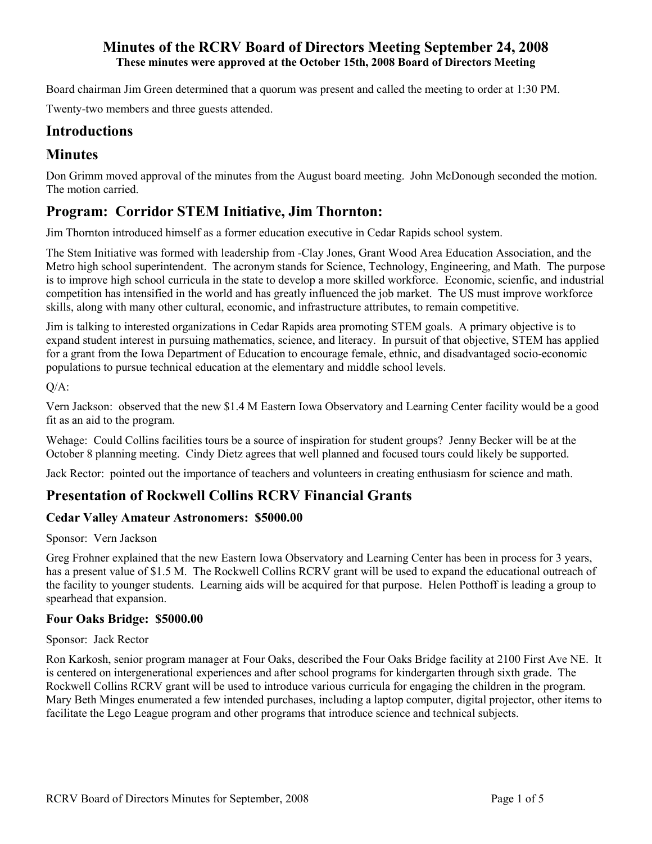Board chairman Jim Green determined that a quorum was present and called the meeting to order at 1:30 PM.

Twenty-two members and three guests attended.

# **Introductions**

# **Minutes**

Don Grimm moved approval of the minutes from the August board meeting. John McDonough seconded the motion. The motion carried.

# **Program: Corridor STEM Initiative, Jim Thornton:**

Jim Thornton introduced himself as a former education executive in Cedar Rapids school system.

The Stem Initiative was formed with leadership from -Clay Jones, Grant Wood Area Education Association, and the Metro high school superintendent. The acronym stands for Science, Technology, Engineering, and Math. The purpose is to improve high school curricula in the state to develop a more skilled workforce. Economic, scienfic, and industrial competition has intensified in the world and has greatly influenced the job market. The US must improve workforce skills, along with many other cultural, economic, and infrastructure attributes, to remain competitive.

Jim is talking to interested organizations in Cedar Rapids area promoting STEM goals. A primary objective is to expand student interest in pursuing mathematics, science, and literacy. In pursuit of that objective, STEM has applied for a grant from the Iowa Department of Education to encourage female, ethnic, and disadvantaged socio-economic populations to pursue technical education at the elementary and middle school levels.

Q/A:

Vern Jackson: observed that the new \$1.4 M Eastern Iowa Observatory and Learning Center facility would be a good fit as an aid to the program.

Wehage: Could Collins facilities tours be a source of inspiration for student groups? Jenny Becker will be at the October 8 planning meeting. Cindy Dietz agrees that well planned and focused tours could likely be supported.

Jack Rector: pointed out the importance of teachers and volunteers in creating enthusiasm for science and math.

# **Presentation of Rockwell Collins RCRV Financial Grants**

# **Cedar Valley Amateur Astronomers: \$5000.00**

## Sponsor: Vern Jackson

Greg Frohner explained that the new Eastern Iowa Observatory and Learning Center has been in process for 3 years, has a present value of \$1.5 M. The Rockwell Collins RCRV grant will be used to expand the educational outreach of the facility to younger students. Learning aids will be acquired for that purpose. Helen Potthoff is leading a group to spearhead that expansion.

## **Four Oaks Bridge: \$5000.00**

Sponsor: Jack Rector

Ron Karkosh, senior program manager at Four Oaks, described the Four Oaks Bridge facility at 2100 First Ave NE. It is centered on intergenerational experiences and after school programs for kindergarten through sixth grade. The Rockwell Collins RCRV grant will be used to introduce various curricula for engaging the children in the program. Mary Beth Minges enumerated a few intended purchases, including a laptop computer, digital projector, other items to facilitate the Lego League program and other programs that introduce science and technical subjects.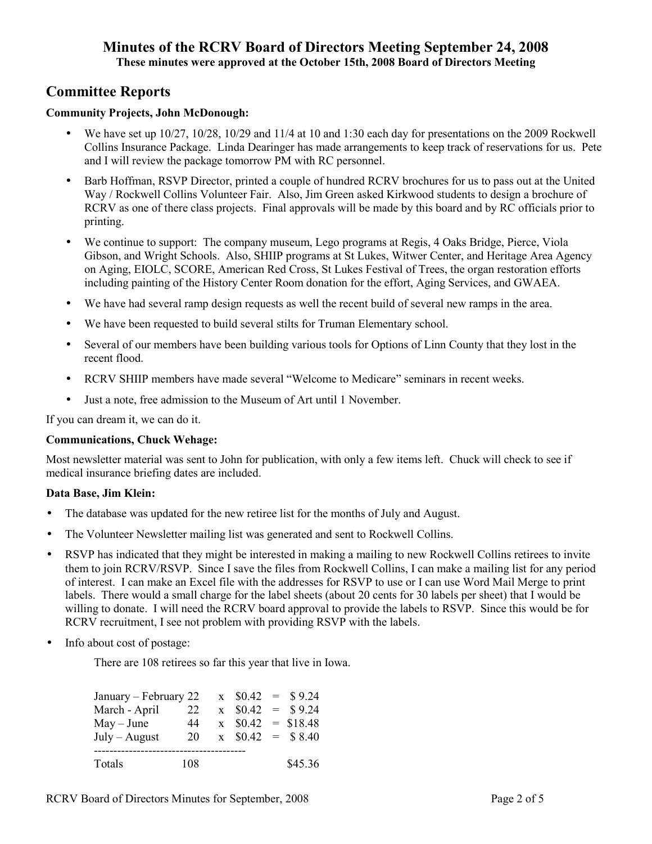# **Committee Reports**

## **Community Projects, John McDonough:**

- We have set up 10/27, 10/28, 10/29 and 11/4 at 10 and 1:30 each day for presentations on the 2009 Rockwell Collins Insurance Package. Linda Dearinger has made arrangements to keep track of reservations for us. Pete and I will review the package tomorrow PM with RC personnel.
- Barb Hoffman, RSVP Director, printed a couple of hundred RCRV brochures for us to pass out at the United Way / Rockwell Collins Volunteer Fair. Also, Jim Green asked Kirkwood students to design a brochure of RCRV as one of there class projects. Final approvals will be made by this board and by RC officials prior to printing.
- We continue to support: The company museum, Lego programs at Regis, 4 Oaks Bridge, Pierce, Viola Gibson, and Wright Schools. Also, SHIIP programs at St Lukes, Witwer Center, and Heritage Area Agency on Aging, EIOLC, SCORE, American Red Cross, St Lukes Festival of Trees, the organ restoration efforts including painting of the History Center Room donation for the effort, Aging Services, and GWAEA.
- We have had several ramp design requests as well the recent build of several new ramps in the area.
- We have been requested to build several stilts for Truman Elementary school.
- Several of our members have been building various tools for Options of Linn County that they lost in the recent flood.
- RCRV SHIIP members have made several "Welcome to Medicare" seminars in recent weeks.
- Just a note, free admission to the Museum of Art until 1 November.

If you can dream it, we can do it.

#### **Communications, Chuck Wehage:**

Most newsletter material was sent to John for publication, with only a few items left. Chuck will check to see if medical insurance briefing dates are included.

#### **Data Base, Jim Klein:**

- The database was updated for the new retiree list for the months of July and August.
- The Volunteer Newsletter mailing list was generated and sent to Rockwell Collins.
- RSVP has indicated that they might be interested in making a mailing to new Rockwell Collins retirees to invite them to join RCRV/RSVP. Since I save the files from Rockwell Collins, I can make a mailing list for any period of interest. I can make an Excel file with the addresses for RSVP to use or I can use Word Mail Merge to print labels. There would a small charge for the label sheets (about 20 cents for 30 labels per sheet) that I would be willing to donate. I will need the RCRV board approval to provide the labels to RSVP. Since this would be for RCRV recruitment, I see not problem with providing RSVP with the labels.
- Info about cost of postage:

There are 108 retirees so far this year that live in Iowa.

| January – February 22 |     |  |  | $x \quad $0.42 = $9.24$  |
|-----------------------|-----|--|--|--------------------------|
| March - April         | 22  |  |  | $x \quad $0.42 = $9.24$  |
| $May - June$          | 44  |  |  | $x \quad $0.42 = $18.48$ |
| $July - August$       | 20  |  |  | $x \quad $0.42 = $8.40$  |
|                       |     |  |  |                          |
| Totals                | 108 |  |  | \$45.36                  |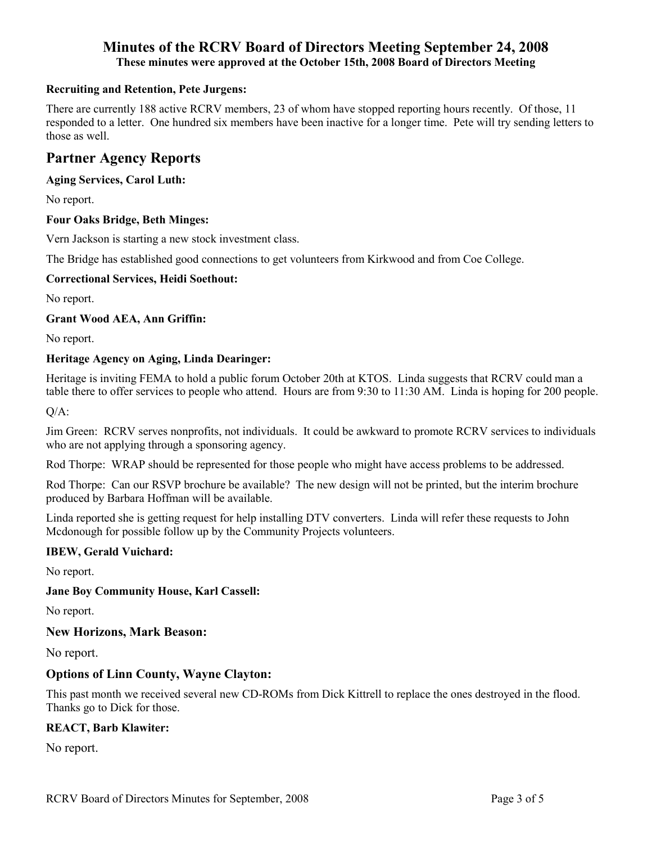## **Recruiting and Retention, Pete Jurgens:**

There are currently 188 active RCRV members, 23 of whom have stopped reporting hours recently. Of those, 11 responded to a letter. One hundred six members have been inactive for a longer time. Pete will try sending letters to those as well.

# **Partner Agency Reports**

### **Aging Services, Carol Luth:**

No report.

#### **Four Oaks Bridge, Beth Minges:**

Vern Jackson is starting a new stock investment class.

The Bridge has established good connections to get volunteers from Kirkwood and from Coe College.

#### **Correctional Services, Heidi Soethout:**

No report.

#### **Grant Wood AEA, Ann Griffin:**

No report.

#### **Heritage Agency on Aging, Linda Dearinger:**

Heritage is inviting FEMA to hold a public forum October 20th at KTOS. Linda suggests that RCRV could man a table there to offer services to people who attend. Hours are from 9:30 to 11:30 AM. Linda is hoping for 200 people.

Q/A:

Jim Green: RCRV serves nonprofits, not individuals. It could be awkward to promote RCRV services to individuals who are not applying through a sponsoring agency.

Rod Thorpe: WRAP should be represented for those people who might have access problems to be addressed.

Rod Thorpe: Can our RSVP brochure be available? The new design will not be printed, but the interim brochure produced by Barbara Hoffman will be available.

Linda reported she is getting request for help installing DTV converters. Linda will refer these requests to John Mcdonough for possible follow up by the Community Projects volunteers.

#### **IBEW, Gerald Vuichard:**

No report.

#### **Jane Boy Community House, Karl Cassell:**

No report.

#### **New Horizons, Mark Beason:**

No report.

## **Options of Linn County, Wayne Clayton:**

This past month we received several new CD-ROMs from Dick Kittrell to replace the ones destroyed in the flood. Thanks go to Dick for those.

#### **REACT, Barb Klawiter:**

No report.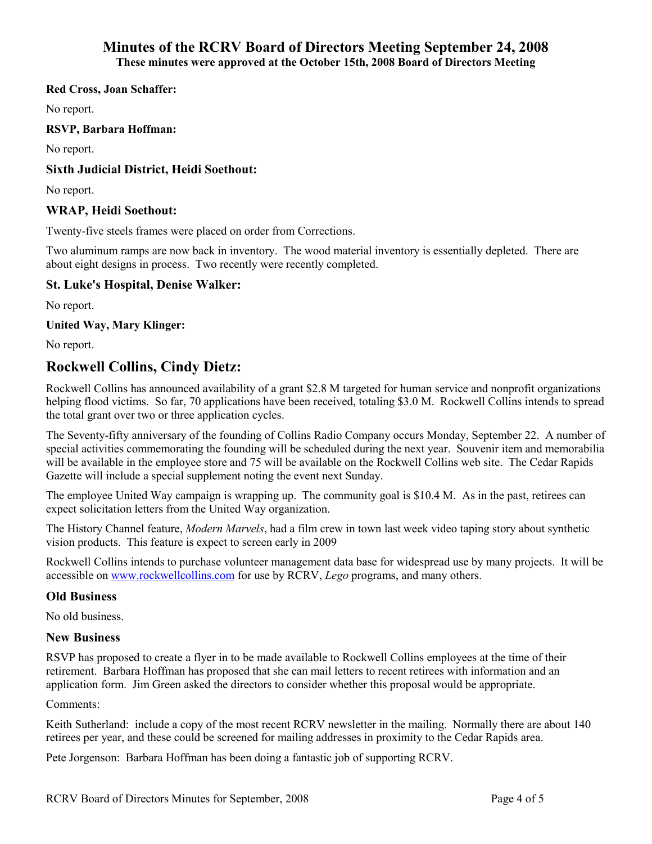#### **Red Cross, Joan Schaffer:**

No report.

**RSVP, Barbara Hoffman:** 

No report.

### **Sixth Judicial District, Heidi Soethout:**

No report.

### **WRAP, Heidi Soethout:**

Twenty-five steels frames were placed on order from Corrections.

Two aluminum ramps are now back in inventory. The wood material inventory is essentially depleted. There are about eight designs in process. Two recently were recently completed.

## **St. Luke's Hospital, Denise Walker:**

No report.

**United Way, Mary Klinger:** 

No report.

# **Rockwell Collins, Cindy Dietz:**

Rockwell Collins has announced availability of a grant \$2.8 M targeted for human service and nonprofit organizations helping flood victims. So far, 70 applications have been received, totaling \$3.0 M. Rockwell Collins intends to spread the total grant over two or three application cycles.

The Seventy-fifty anniversary of the founding of Collins Radio Company occurs Monday, September 22. A number of special activities commemorating the founding will be scheduled during the next year. Souvenir item and memorabilia will be available in the employee store and 75 will be available on the Rockwell Collins web site. The Cedar Rapids Gazette will include a special supplement noting the event next Sunday.

The employee United Way campaign is wrapping up. The community goal is \$10.4 M. As in the past, retirees can expect solicitation letters from the United Way organization.

The History Channel feature, *Modern Marvels*, had a film crew in town last week video taping story about synthetic vision products. This feature is expect to screen early in 2009

Rockwell Collins intends to purchase volunteer management data base for widespread use by many projects. It will be accessible on www.rockwellcollins.com for use by RCRV, *Lego* programs, and many others.

#### **Old Business**

No old business.

#### **New Business**

RSVP has proposed to create a flyer in to be made available to Rockwell Collins employees at the time of their retirement. Barbara Hoffman has proposed that she can mail letters to recent retirees with information and an application form. Jim Green asked the directors to consider whether this proposal would be appropriate.

## Comments:

Keith Sutherland: include a copy of the most recent RCRV newsletter in the mailing. Normally there are about 140 retirees per year, and these could be screened for mailing addresses in proximity to the Cedar Rapids area.

Pete Jorgenson: Barbara Hoffman has been doing a fantastic job of supporting RCRV.